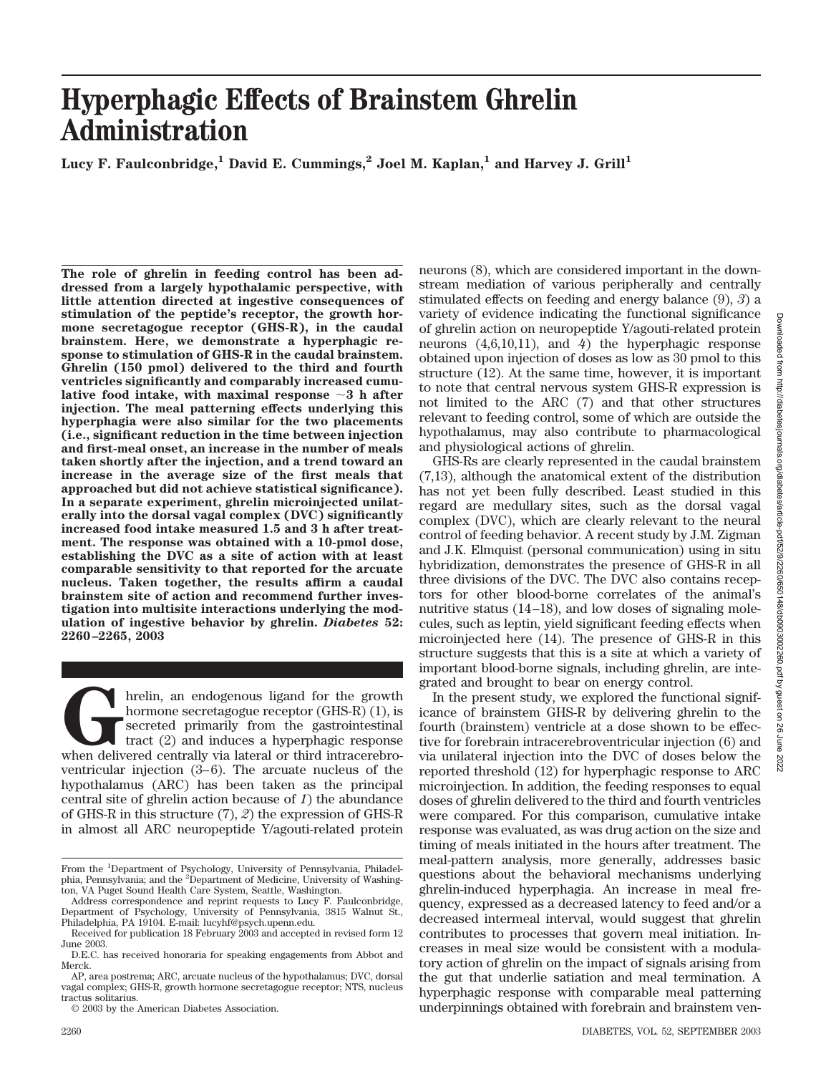# **Hyperphagic Effects of Brainstem Ghrelin Administration**

Lucy F. Faulconbridge,<sup>1</sup> David E. Cummings,<sup>2</sup> Joel M. Kaplan,<sup>1</sup> and Harvey J. Grill<sup>1</sup>

**The role of ghrelin in feeding control has been addressed from a largely hypothalamic perspective, with little attention directed at ingestive consequences of stimulation of the peptide's receptor, the growth hormone secretagogue receptor (GHS-R), in the caudal brainstem. Here, we demonstrate a hyperphagic response to stimulation of GHS-R in the caudal brainstem. Ghrelin (150 pmol) delivered to the third and fourth ventricles significantly and comparably increased cumulative food intake, with maximal response 3 h after injection. The meal patterning effects underlying this hyperphagia were also similar for the two placements (i.e., significant reduction in the time between injection and first-meal onset, an increase in the number of meals taken shortly after the injection, and a trend toward an increase in the average size of the first meals that approached but did not achieve statistical significance). In a separate experiment, ghrelin microinjected unilaterally into the dorsal vagal complex (DVC) significantly increased food intake measured 1.5 and 3 h after treatment. The response was obtained with a 10-pmol dose, establishing the DVC as a site of action with at least comparable sensitivity to that reported for the arcuate nucleus. Taken together, the results affirm a caudal brainstem site of action and recommend further investigation into multisite interactions underlying the modulation of ingestive behavior by ghrelin.** *Diabetes* **52: 2260–2265, 2003**

**G**hrelin, an endogenous ligand for the growth hormone secretagogue receptor (GHS-R) (1), is secreted primarily from the gastrointestinal tract (2) and induces a hyperphagic response when delivered centrally via lateral or hormone secretagogue receptor (GHS-R) (1), is secreted primarily from the gastrointestinal tract (2) and induces a hyperphagic response ventricular injection (3–6). The arcuate nucleus of the hypothalamus (ARC) has been taken as the principal central site of ghrelin action because of *1*) the abundance of GHS-R in this structure (7), *2*) the expression of GHS-R in almost all ARC neuropeptide Y/agouti-related protein

neurons (8), which are considered important in the downstream mediation of various peripherally and centrally stimulated effects on feeding and energy balance (9), *3*) a variety of evidence indicating the functional significance of ghrelin action on neuropeptide Y/agouti-related protein neurons (4,6,10,11), and *4*) the hyperphagic response obtained upon injection of doses as low as 30 pmol to this structure (12). At the same time, however, it is important to note that central nervous system GHS-R expression is not limited to the ARC (7) and that other structures relevant to feeding control, some of which are outside the hypothalamus, may also contribute to pharmacological and physiological actions of ghrelin.

GHS-Rs are clearly represented in the caudal brainstem (7,13), although the anatomical extent of the distribution has not yet been fully described. Least studied in this regard are medullary sites, such as the dorsal vagal complex (DVC), which are clearly relevant to the neural control of feeding behavior. A recent study by J.M. Zigman and J.K. Elmquist (personal communication) using in situ hybridization, demonstrates the presence of GHS-R in all three divisions of the DVC. The DVC also contains receptors for other blood-borne correlates of the animal's nutritive status (14–18), and low doses of signaling molecules, such as leptin, yield significant feeding effects when microinjected here (14). The presence of GHS-R in this structure suggests that this is a site at which a variety of important blood-borne signals, including ghrelin, are integrated and brought to bear on energy control.

In the present study, we explored the functional significance of brainstem GHS-R by delivering ghrelin to the fourth (brainstem) ventricle at a dose shown to be effective for forebrain intracerebroventricular injection (6) and via unilateral injection into the DVC of doses below the reported threshold (12) for hyperphagic response to ARC microinjection. In addition, the feeding responses to equal doses of ghrelin delivered to the third and fourth ventricles were compared. For this comparison, cumulative intake response was evaluated, as was drug action on the size and timing of meals initiated in the hours after treatment. The meal-pattern analysis, more generally, addresses basic questions about the behavioral mechanisms underlying ghrelin-induced hyperphagia. An increase in meal frequency, expressed as a decreased latency to feed and/or a decreased intermeal interval, would suggest that ghrelin contributes to processes that govern meal initiation. Increases in meal size would be consistent with a modulatory action of ghrelin on the impact of signals arising from the gut that underlie satiation and meal termination. A hyperphagic response with comparable meal patterning underpinnings obtained with forebrain and brainstem ven-

From the <sup>1</sup>Department of Psychology, University of Pennsylvania, Philadelphia, Pennsylvania; and the <sup>2</sup>Department of Medicine, University of Washington, VA Puget Sound Health Care System, Seattle, Washington.

Address correspondence and reprint requests to Lucy F. Faulconbridge, Department of Psychology, University of Pennsylvania, 3815 Walnut St., Philadelphia, PA 19104. E-mail: lucyhf@psych.upenn.edu.

Received for publication 18 February 2003 and accepted in revised form 12 June 2003.

D.E.C. has received honoraria for speaking engagements from Abbot and Merck.

AP, area postrema; ARC, arcuate nucleus of the hypothalamus; DVC, dorsal vagal complex; GHS-R, growth hormone secretagogue receptor; NTS, nucleus tractus solitarius.

<sup>© 2003</sup> by the American Diabetes Association.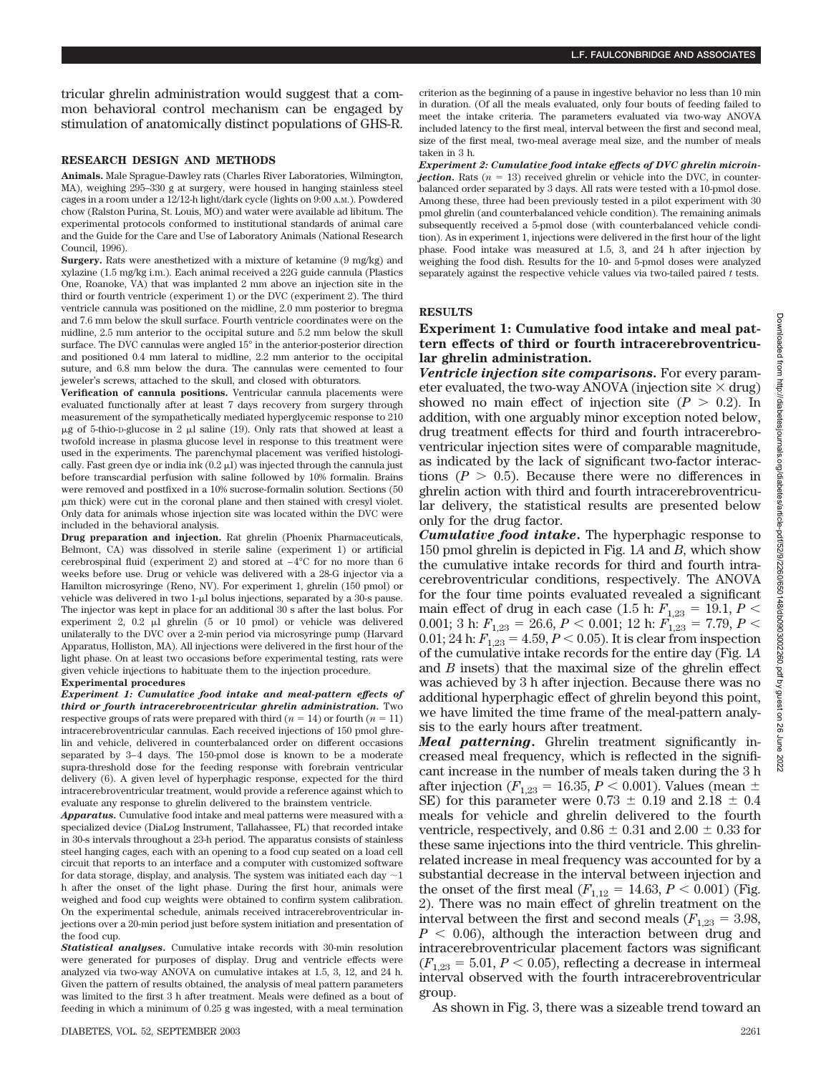tricular ghrelin administration would suggest that a common behavioral control mechanism can be engaged by stimulation of anatomically distinct populations of GHS-R.

## **RESEARCH DESIGN AND METHODS**

**Animals.** Male Sprague-Dawley rats (Charles River Laboratories, Wilmington, MA), weighing 295–330 g at surgery, were housed in hanging stainless steel cages in a room under a 12/12-h light/dark cycle (lights on 9:00 A.M.). Powdered chow (Ralston Purina, St. Louis, MO) and water were available ad libitum. The experimental protocols conformed to institutional standards of animal care and the Guide for the Care and Use of Laboratory Animals (National Research Council, 1996).

**Surgery.** Rats were anesthetized with a mixture of ketamine (9 mg/kg) and xylazine (1.5 mg/kg i.m.). Each animal received a 22G guide cannula (Plastics One, Roanoke, VA) that was implanted 2 mm above an injection site in the third or fourth ventricle (experiment 1) or the DVC (experiment 2). The third ventricle cannula was positioned on the midline, 2.0 mm posterior to bregma and 7.6 mm below the skull surface. Fourth ventricle coordinates were on the midline, 2.5 mm anterior to the occipital suture and 5.2 mm below the skull surface. The DVC cannulas were angled 15° in the anterior-posterior direction and positioned 0.4 mm lateral to midline, 2.2 mm anterior to the occipital suture, and 6.8 mm below the dura. The cannulas were cemented to four jeweler's screws, attached to the skull, and closed with obturators.

**Verification of cannula positions.** Ventricular cannula placements were evaluated functionally after at least 7 days recovery from surgery through measurement of the sympathetically mediated hyperglycemic response to 210  $\mu$ g of 5-thio-D-glucose in 2  $\mu$ l saline (19). Only rats that showed at least a twofold increase in plasma glucose level in response to this treatment were used in the experiments. The parenchymal placement was verified histologically. Fast green dye or india ink  $(0.2 \mu I)$  was injected through the cannula just before transcardial perfusion with saline followed by 10% formalin. Brains were removed and postfixed in a 10% sucrose-formalin solution. Sections (50 -m thick) were cut in the coronal plane and then stained with cresyl violet. Only data for animals whose injection site was located within the DVC were included in the behavioral analysis.

**Drug preparation and injection.** Rat ghrelin (Phoenix Pharmaceuticals, Belmont, CA) was dissolved in sterile saline (experiment 1) or artificial cerebrospinal fluid (experiment 2) and stored at  $-4^{\circ}$ C for no more than 6 weeks before use. Drug or vehicle was delivered with a 28-G injector via a Hamilton microsyringe (Reno, NV). For experiment 1, ghrelin (150 pmol) or vehicle was delivered in two 1-µl bolus injections, separated by a 30-s pause. The injector was kept in place for an additional 30 s after the last bolus. For experiment 2,  $0.2$   $\mu$ l ghrelin (5 or 10 pmol) or vehicle was delivered unilaterally to the DVC over a 2-min period via microsyringe pump (Harvard Apparatus, Holliston, MA). All injections were delivered in the first hour of the light phase. On at least two occasions before experimental testing, rats were given vehicle injections to habituate them to the injection procedure.

#### **Experimental procedures**

*Experiment 1: Cumulative food intake and meal-pattern effects of third or fourth intracerebroventricular ghrelin administration.* Two respective groups of rats were prepared with third  $(n = 14)$  or fourth  $(n = 11)$ intracerebroventricular cannulas. Each received injections of 150 pmol ghrelin and vehicle, delivered in counterbalanced order on different occasions separated by 3–4 days. The 150-pmol dose is known to be a moderate supra-threshold dose for the feeding response with forebrain ventricular delivery (6). A given level of hyperphagic response, expected for the third intracerebroventricular treatment, would provide a reference against which to evaluate any response to ghrelin delivered to the brainstem ventricle.

*Apparatus.* Cumulative food intake and meal patterns were measured with a specialized device (DiaLog Instrument, Tallahassee, FL) that recorded intake in 30-s intervals throughout a 23-h period. The apparatus consists of stainless steel hanging cages, each with an opening to a food cup seated on a load cell circuit that reports to an interface and a computer with customized software for data storage, display, and analysis. The system was initiated each day  $\sim$  1 h after the onset of the light phase. During the first hour, animals were weighed and food cup weights were obtained to confirm system calibration. On the experimental schedule, animals received intracerebroventricular injections over a 20-min period just before system initiation and presentation of the food cup.

*Statistical analyses.* Cumulative intake records with 30-min resolution were generated for purposes of display. Drug and ventricle effects were analyzed via two-way ANOVA on cumulative intakes at 1.5, 3, 12, and 24 h. Given the pattern of results obtained, the analysis of meal pattern parameters was limited to the first 3 h after treatment. Meals were defined as a bout of feeding in which a minimum of 0.25 g was ingested, with a meal termination criterion as the beginning of a pause in ingestive behavior no less than 10 min in duration. (Of all the meals evaluated, only four bouts of feeding failed to meet the intake criteria. The parameters evaluated via two-way ANOVA included latency to the first meal, interval between the first and second meal, size of the first meal, two-meal average meal size, and the number of meals taken in 3 h.

*Experiment 2: Cumulative food intake effects of DVC ghrelin microinjection.* Rats  $(n = 13)$  received ghrelin or vehicle into the DVC, in counterbalanced order separated by 3 days. All rats were tested with a 10-pmol dose. Among these, three had been previously tested in a pilot experiment with 30 pmol ghrelin (and counterbalanced vehicle condition). The remaining animals subsequently received a 5-pmol dose (with counterbalanced vehicle condition). As in experiment 1, injections were delivered in the first hour of the light phase. Food intake was measured at 1.5, 3, and 24 h after injection by weighing the food dish. Results for the 10- and 5-pmol doses were analyzed separately against the respective vehicle values via two-tailed paired *t* tests.

## **RESULTS**

# **Experiment 1: Cumulative food intake and meal pattern effects of third or fourth intracerebroventricular ghrelin administration.**

*Ventricle injection site comparisons.* For every parameter evaluated, the two-way ANOVA (injection site  $\times$  drug) showed no main effect of injection site  $(P > 0.2)$ . In addition, with one arguably minor exception noted below, drug treatment effects for third and fourth intracerebroventricular injection sites were of comparable magnitude, as indicated by the lack of significant two-factor interactions  $(P > 0.5)$ . Because there were no differences in ghrelin action with third and fourth intracerebroventricular delivery, the statistical results are presented below only for the drug factor.

*Cumulative food intake***.** The hyperphagic response to 150 pmol ghrelin is depicted in Fig. 1*A* and *B*, which show the cumulative intake records for third and fourth intracerebroventricular conditions, respectively. The ANOVA for the four time points evaluated revealed a significant main effect of drug in each case (1.5 h:  $F_{1,23} = 19.1, P <$ 0.001; 3 h:  $F_{1,23} = 26.6, P < 0.001;$  12 h:  $F_{1,23} = 7.79, P <$ 0.01; 24 h:  $F_{1,23} = 4.59, P < 0.05$ ). It is clear from inspection of the cumulative intake records for the entire day (Fig. 1*A* and *B* insets) that the maximal size of the ghrelin effect was achieved by 3 h after injection. Because there was no additional hyperphagic effect of ghrelin beyond this point, we have limited the time frame of the meal-pattern analysis to the early hours after treatment.

*Meal patterning***.** Ghrelin treatment significantly increased meal frequency, which is reflected in the significant increase in the number of meals taken during the 3 h after injection ( $F_{1,23} = 16.35, P < 0.001$ ). Values (mean  $\pm$ SE) for this parameter were  $0.73 \pm 0.19$  and  $2.18 \pm 0.4$ meals for vehicle and ghrelin delivered to the fourth ventricle, respectively, and  $0.86 \pm 0.31$  and  $2.00 \pm 0.33$  for these same injections into the third ventricle. This ghrelinrelated increase in meal frequency was accounted for by a substantial decrease in the interval between injection and the onset of the first meal  $(F_{1,12} = 14.63, P \le 0.001)$  (Fig. 2). There was no main effect of ghrelin treatment on the interval between the first and second meals  $(F_{1,23} = 3.98,$  $P < 0.06$ ), although the interaction between drug and intracerebroventricular placement factors was significant  $(F<sub>1,23</sub> = 5.01, P < 0.05)$ , reflecting a decrease in intermeal interval observed with the fourth intracerebroventricular group.

As shown in Fig. 3, there was a sizeable trend toward an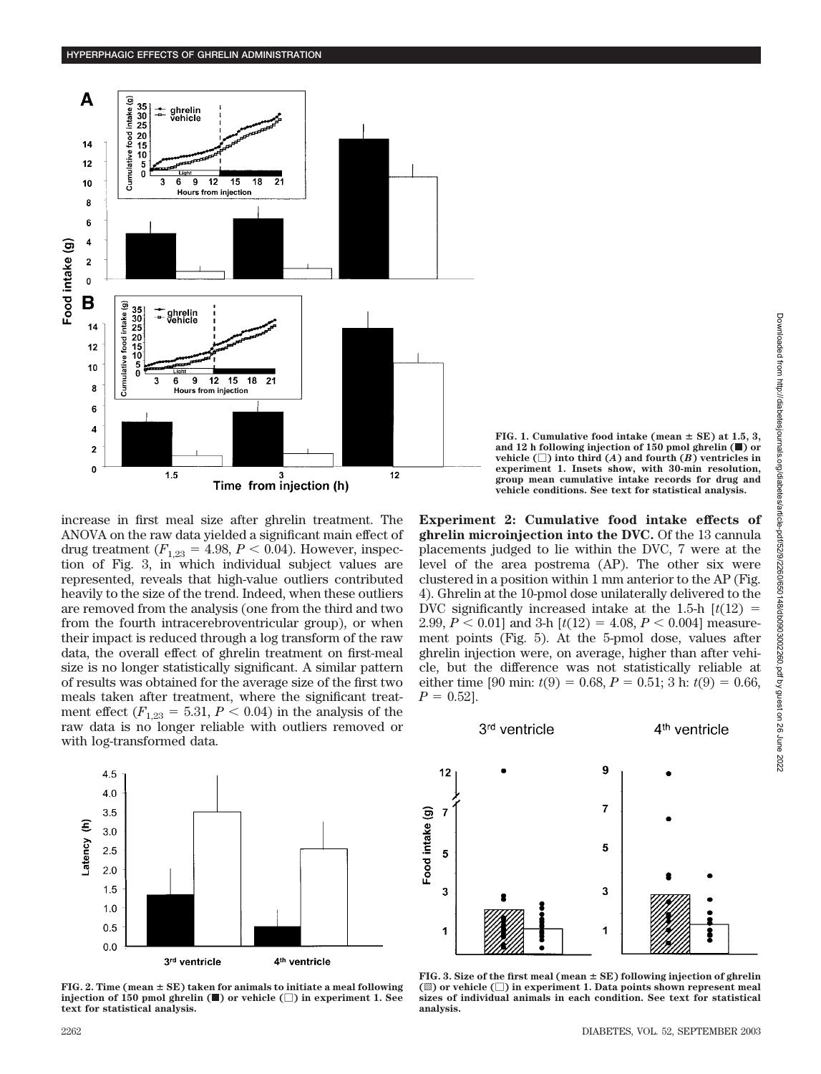

increase in first meal size after ghrelin treatment. The ANOVA on the raw data yielded a significant main effect of drug treatment  $(F_{1,23} = 4.98, P \lt 0.04)$ . However, inspection of Fig. 3, in which individual subject values are represented, reveals that high-value outliers contributed heavily to the size of the trend. Indeed, when these outliers are removed from the analysis (one from the third and two from the fourth intracerebroventricular group), or when their impact is reduced through a log transform of the raw data, the overall effect of ghrelin treatment on first-meal size is no longer statistically significant. A similar pattern of results was obtained for the average size of the first two meals taken after treatment, where the significant treatment effect  $(F_{1,23} = 5.31, P < 0.04)$  in the analysis of the raw data is no longer reliable with outliers removed or with log-transformed data.



**FIG. 2. Time (mean SE) taken for animals to initiate a meal following injection of 150 pmol ghrelin**  $(\blacksquare)$  **or vehicle**  $(\square)$  **in experiment 1. See text for statistical analysis.**

**FIG. 1. Cumulative food intake (mean SE) at 1.5, 3, and 12 h following injection of 150 pmol ghrelin (**f**) or vehicle**  $(\Box)$  into third  $(A)$  and fourth  $(B)$  ventricles in **experiment 1. Insets show, with 30-min resolution, group mean cumulative intake records for drug and vehicle conditions. See text for statistical analysis.**

**Experiment 2: Cumulative food intake effects of ghrelin microinjection into the DVC.** Of the 13 cannula placements judged to lie within the DVC, 7 were at the level of the area postrema (AP). The other six were clustered in a position within 1 mm anterior to the AP (Fig. 4). Ghrelin at the 10-pmol dose unilaterally delivered to the DVC significantly increased intake at the 1.5-h  $\left[t(12)\right]=$ 2.99,  $P < 0.01$ ] and 3-h  $[t(12) = 4.08, P < 0.004]$  measurement points (Fig. 5). At the 5-pmol dose, values after ghrelin injection were, on average, higher than after vehicle, but the difference was not statistically reliable at either time [90 min:  $t(9) = 0.68$ ,  $P = 0.51$ ; 3 h:  $t(9) = 0.66$ ,  $P = 0.52$ ].



**FIG. 3. Size of the first meal (mean SE) following injection of ghrelin (**o**) or vehicle () in experiment 1. Data points shown represent meal sizes of individual animals in each condition. See text for statistical analysis.**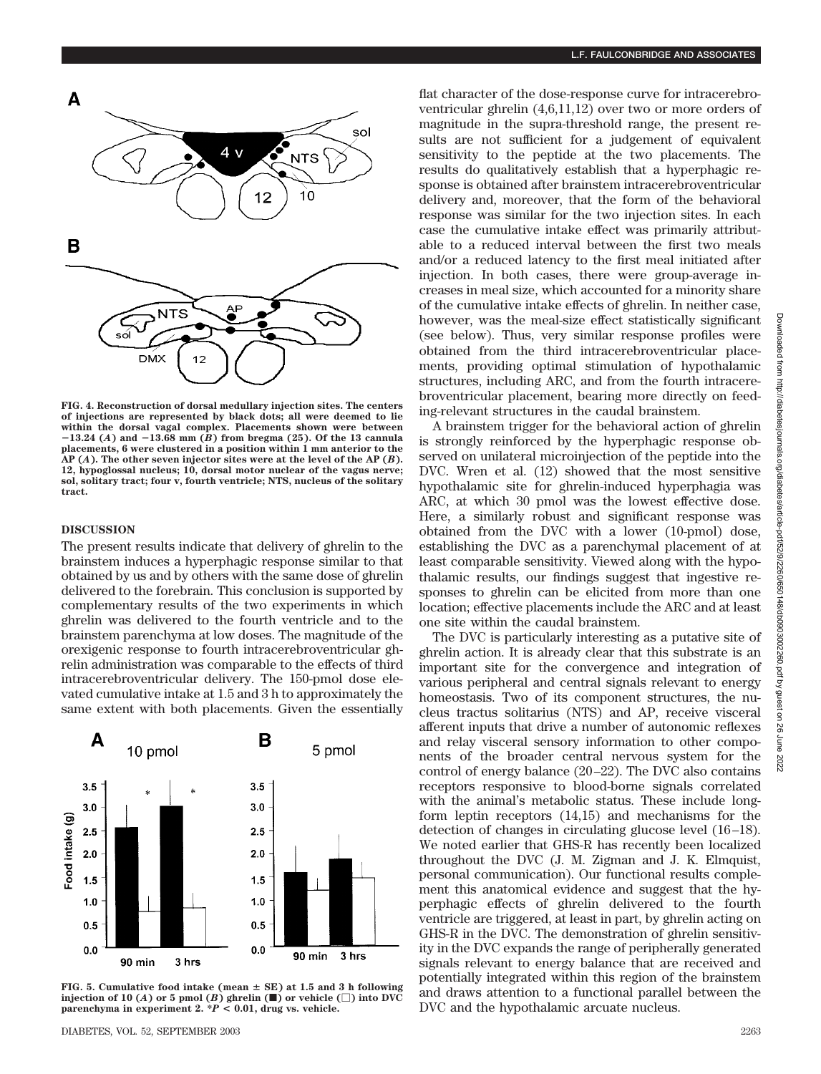

**FIG. 4. Reconstruction of dorsal medullary injection sites. The centers of injections are represented by black dots; all were deemed to lie within the dorsal vagal complex. Placements shown were between** -**13.24 (***A***) and** -**13.68 mm (***B***) from bregma (25). Of the 13 cannula placements, 6 were clustered in a position within 1 mm anterior to the AP (***A***). The other seven injector sites were at the level of the AP (***B***). 12, hypoglossal nucleus; 10, dorsal motor nuclear of the vagus nerve; sol, solitary tract; four v, fourth ventricle; NTS, nucleus of the solitary tract.**

## **DISCUSSION**

The present results indicate that delivery of ghrelin to the brainstem induces a hyperphagic response similar to that obtained by us and by others with the same dose of ghrelin delivered to the forebrain. This conclusion is supported by complementary results of the two experiments in which ghrelin was delivered to the fourth ventricle and to the brainstem parenchyma at low doses. The magnitude of the orexigenic response to fourth intracerebroventricular ghrelin administration was comparable to the effects of third intracerebroventricular delivery. The 150-pmol dose elevated cumulative intake at 1.5 and 3 h to approximately the same extent with both placements. Given the essentially



**FIG. 5. Cumulative food intake (mean SE) at 1.5 and 3 h following injection of 10 (***A***) or 5 pmol (***B***) ghrelin (** $\blacksquare$ **) or vehicle (** $\Box$ **) into DVC parenchyma in experiment 2. \****P* **< 0.01, drug vs. vehicle.**

flat character of the dose-response curve for intracerebroventricular ghrelin (4,6,11,12) over two or more orders of magnitude in the supra-threshold range, the present results are not sufficient for a judgement of equivalent sensitivity to the peptide at the two placements. The results do qualitatively establish that a hyperphagic response is obtained after brainstem intracerebroventricular delivery and, moreover, that the form of the behavioral response was similar for the two injection sites. In each case the cumulative intake effect was primarily attributable to a reduced interval between the first two meals and/or a reduced latency to the first meal initiated after injection. In both cases, there were group-average increases in meal size, which accounted for a minority share of the cumulative intake effects of ghrelin. In neither case, however, was the meal-size effect statistically significant (see below). Thus, very similar response profiles were obtained from the third intracerebroventricular placements, providing optimal stimulation of hypothalamic structures, including ARC, and from the fourth intracerebroventricular placement, bearing more directly on feeding-relevant structures in the caudal brainstem.

A brainstem trigger for the behavioral action of ghrelin is strongly reinforced by the hyperphagic response observed on unilateral microinjection of the peptide into the DVC. Wren et al. (12) showed that the most sensitive hypothalamic site for ghrelin-induced hyperphagia was ARC, at which 30 pmol was the lowest effective dose. Here, a similarly robust and significant response was obtained from the DVC with a lower (10-pmol) dose, establishing the DVC as a parenchymal placement of at least comparable sensitivity. Viewed along with the hypothalamic results, our findings suggest that ingestive responses to ghrelin can be elicited from more than one location; effective placements include the ARC and at least one site within the caudal brainstem.

The DVC is particularly interesting as a putative site of ghrelin action. It is already clear that this substrate is an important site for the convergence and integration of various peripheral and central signals relevant to energy homeostasis. Two of its component structures, the nucleus tractus solitarius (NTS) and AP, receive visceral afferent inputs that drive a number of autonomic reflexes and relay visceral sensory information to other components of the broader central nervous system for the control of energy balance (20–22). The DVC also contains receptors responsive to blood-borne signals correlated with the animal's metabolic status. These include longform leptin receptors (14,15) and mechanisms for the detection of changes in circulating glucose level (16–18). We noted earlier that GHS-R has recently been localized throughout the DVC (J. M. Zigman and J. K. Elmquist, personal communication). Our functional results complement this anatomical evidence and suggest that the hyperphagic effects of ghrelin delivered to the fourth ventricle are triggered, at least in part, by ghrelin acting on GHS-R in the DVC. The demonstration of ghrelin sensitivity in the DVC expands the range of peripherally generated signals relevant to energy balance that are received and potentially integrated within this region of the brainstem and draws attention to a functional parallel between the DVC and the hypothalamic arcuate nucleus.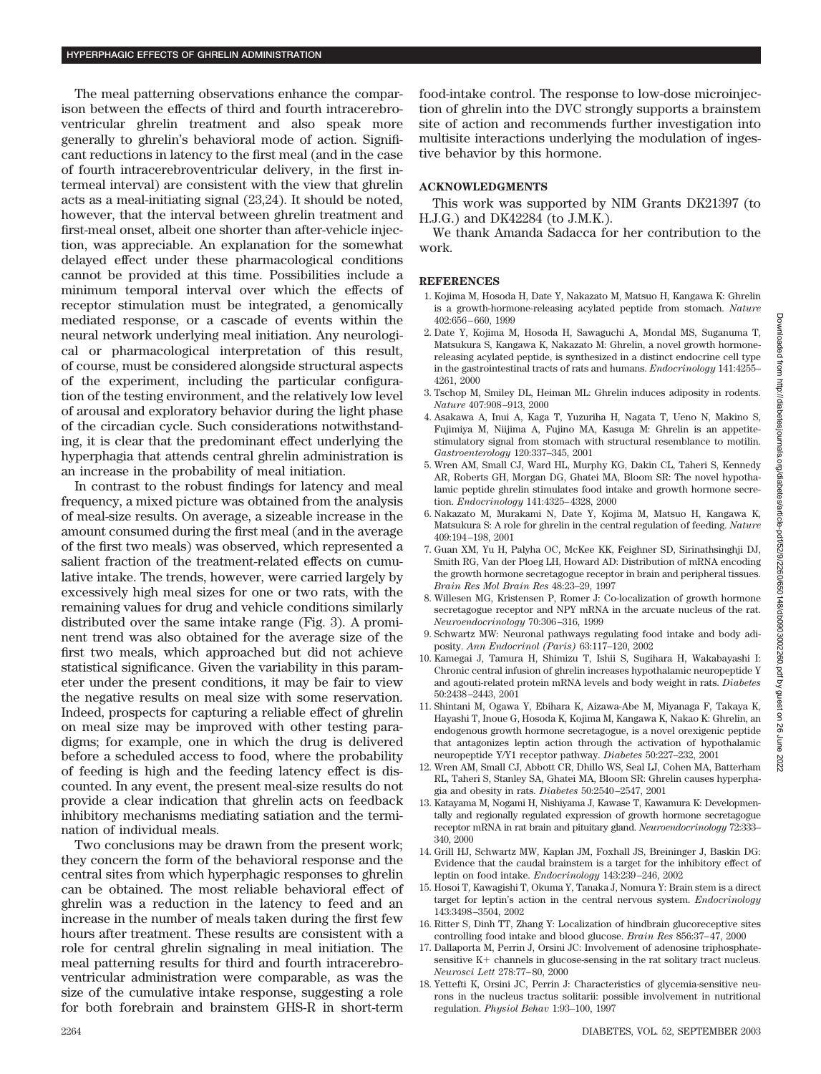The meal patterning observations enhance the comparison between the effects of third and fourth intracerebroventricular ghrelin treatment and also speak more generally to ghrelin's behavioral mode of action. Significant reductions in latency to the first meal (and in the case of fourth intracerebroventricular delivery, in the first intermeal interval) are consistent with the view that ghrelin acts as a meal-initiating signal (23,24). It should be noted, however, that the interval between ghrelin treatment and first-meal onset, albeit one shorter than after-vehicle injection, was appreciable. An explanation for the somewhat delayed effect under these pharmacological conditions cannot be provided at this time. Possibilities include a minimum temporal interval over which the effects of receptor stimulation must be integrated, a genomically mediated response, or a cascade of events within the neural network underlying meal initiation. Any neurological or pharmacological interpretation of this result, of course, must be considered alongside structural aspects of the experiment, including the particular configuration of the testing environment, and the relatively low level of arousal and exploratory behavior during the light phase of the circadian cycle. Such considerations notwithstanding, it is clear that the predominant effect underlying the hyperphagia that attends central ghrelin administration is an increase in the probability of meal initiation.

In contrast to the robust findings for latency and meal frequency, a mixed picture was obtained from the analysis of meal-size results. On average, a sizeable increase in the amount consumed during the first meal (and in the average of the first two meals) was observed, which represented a salient fraction of the treatment-related effects on cumulative intake. The trends, however, were carried largely by excessively high meal sizes for one or two rats, with the remaining values for drug and vehicle conditions similarly distributed over the same intake range (Fig. 3). A prominent trend was also obtained for the average size of the first two meals, which approached but did not achieve statistical significance. Given the variability in this parameter under the present conditions, it may be fair to view the negative results on meal size with some reservation. Indeed, prospects for capturing a reliable effect of ghrelin on meal size may be improved with other testing paradigms; for example, one in which the drug is delivered before a scheduled access to food, where the probability of feeding is high and the feeding latency effect is discounted. In any event, the present meal-size results do not provide a clear indication that ghrelin acts on feedback inhibitory mechanisms mediating satiation and the termination of individual meals.

Two conclusions may be drawn from the present work; they concern the form of the behavioral response and the central sites from which hyperphagic responses to ghrelin can be obtained. The most reliable behavioral effect of ghrelin was a reduction in the latency to feed and an increase in the number of meals taken during the first few hours after treatment. These results are consistent with a role for central ghrelin signaling in meal initiation. The meal patterning results for third and fourth intracerebroventricular administration were comparable, as was the size of the cumulative intake response, suggesting a role for both forebrain and brainstem GHS-R in short-term

food-intake control. The response to low-dose microinjection of ghrelin into the DVC strongly supports a brainstem site of action and recommends further investigation into multisite interactions underlying the modulation of ingestive behavior by this hormone.

## **ACKNOWLEDGMENTS**

This work was supported by NIM Grants DK21397 (to H.J.G.) and DK42284 (to J.M.K.).

We thank Amanda Sadacca for her contribution to the work.

## **REFERENCES**

- 1. Kojima M, Hosoda H, Date Y, Nakazato M, Matsuo H, Kangawa K: Ghrelin is a growth-hormone-releasing acylated peptide from stomach. *Nature* 402:656–660, 1999
- 2. Date Y, Kojima M, Hosoda H, Sawaguchi A, Mondal MS, Suganuma T, Matsukura S, Kangawa K, Nakazato M: Ghrelin, a novel growth hormonereleasing acylated peptide, is synthesized in a distinct endocrine cell type in the gastrointestinal tracts of rats and humans. *Endocrinology* 141:4255– 4261, 2000
- 3. Tschop M, Smiley DL, Heiman ML: Ghrelin induces adiposity in rodents. *Nature* 407:908–913, 2000
- 4. Asakawa A, Inui A, Kaga T, Yuzuriha H, Nagata T, Ueno N, Makino S, Fujimiya M, Niijima A, Fujino MA, Kasuga M: Ghrelin is an appetitestimulatory signal from stomach with structural resemblance to motilin. *Gastroenterology* 120:337–345, 2001
- 5. Wren AM, Small CJ, Ward HL, Murphy KG, Dakin CL, Taheri S, Kennedy AR, Roberts GH, Morgan DG, Ghatei MA, Bloom SR: The novel hypothalamic peptide ghrelin stimulates food intake and growth hormone secretion. *Endocrinology* 141:4325–4328, 2000
- 6. Nakazato M, Murakami N, Date Y, Kojima M, Matsuo H, Kangawa K, Matsukura S: A role for ghrelin in the central regulation of feeding. *Nature* 409:194–198, 2001
- 7. Guan XM, Yu H, Palyha OC, McKee KK, Feighner SD, Sirinathsinghji DJ, Smith RG, Van der Ploeg LH, Howard AD: Distribution of mRNA encoding the growth hormone secretagogue receptor in brain and peripheral tissues. *Brain Res Mol Brain Res* 48:23–29, 1997
- 8. Willesen MG, Kristensen P, Romer J: Co-localization of growth hormone secretagogue receptor and NPY mRNA in the arcuate nucleus of the rat. *Neuroendocrinology* 70:306–316, 1999
- 9. Schwartz MW: Neuronal pathways regulating food intake and body adiposity. *Ann Endocrinol (Paris)* 63:117–120, 2002
- 10. Kamegai J, Tamura H, Shimizu T, Ishii S, Sugihara H, Wakabayashi I: Chronic central infusion of ghrelin increases hypothalamic neuropeptide Y and agouti-related protein mRNA levels and body weight in rats. *Diabetes* 50:2438–2443, 2001
- 11. Shintani M, Ogawa Y, Ebihara K, Aizawa-Abe M, Miyanaga F, Takaya K, Hayashi T, Inoue G, Hosoda K, Kojima M, Kangawa K, Nakao K: Ghrelin, an endogenous growth hormone secretagogue, is a novel orexigenic peptide that antagonizes leptin action through the activation of hypothalamic neuropeptide Y/Y1 receptor pathway. *Diabetes* 50:227–232, 2001
- 12. Wren AM, Small CJ, Abbott CR, Dhillo WS, Seal LJ, Cohen MA, Batterham RL, Taheri S, Stanley SA, Ghatei MA, Bloom SR: Ghrelin causes hyperphagia and obesity in rats. *Diabetes* 50:2540–2547, 2001
- 13. Katayama M, Nogami H, Nishiyama J, Kawase T, Kawamura K: Developmentally and regionally regulated expression of growth hormone secretagogue receptor mRNA in rat brain and pituitary gland. *Neuroendocrinology* 72:333– 340, 2000
- 14. Grill HJ, Schwartz MW, Kaplan JM, Foxhall JS, Breininger J, Baskin DG: Evidence that the caudal brainstem is a target for the inhibitory effect of leptin on food intake. *Endocrinology* 143:239–246, 2002
- 15. Hosoi T, Kawagishi T, Okuma Y, Tanaka J, Nomura Y: Brain stem is a direct target for leptin's action in the central nervous system. *Endocrinology* 143:3498–3504, 2002
- 16. Ritter S, Dinh TT, Zhang Y: Localization of hindbrain glucoreceptive sites controlling food intake and blood glucose. *Brain Res* 856:37–47, 2000
- 17. Dallaporta M, Perrin J, Orsini JC: Involvement of adenosine triphosphatesensitive  $K<sup>+</sup>$  channels in glucose-sensing in the rat solitary tract nucleus. *Neurosci Lett* 278:77–80, 2000
- 18. Yettefti K, Orsini JC, Perrin J: Characteristics of glycemia-sensitive neurons in the nucleus tractus solitarii: possible involvement in nutritional regulation. *Physiol Behav* 1:93–100, 1997